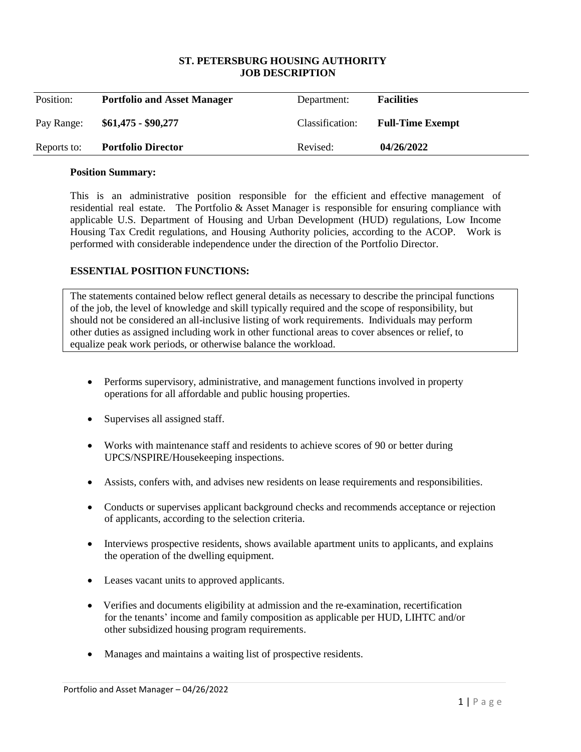### **ST. PETERSBURG HOUSING AUTHORITY JOB DESCRIPTION**

| Position:   | <b>Portfolio and Asset Manager</b> | Department:     | <b>Facilities</b>       |
|-------------|------------------------------------|-----------------|-------------------------|
| Pay Range:  | $$61,475 - $90,277$                | Classification: | <b>Full-Time Exempt</b> |
| Reports to: | <b>Portfolio Director</b>          | Revised:        | 04/26/2022              |

#### **Position Summary:**

This is an administrative position responsible for the efficient and effective management of residential real estate. The Portfolio & Asset Manager is responsible for ensuring compliance with applicable U.S. Department of Housing and Urban Development (HUD) regulations, Low Income Housing Tax Credit regulations, and Housing Authority policies, according to the ACOP. Work is performed with considerable independence under the direction of the Portfolio Director.

### **ESSENTIAL POSITION FUNCTIONS:**

The statements contained below reflect general details as necessary to describe the principal functions of the job, the level of knowledge and skill typically required and the scope of responsibility, but should not be considered an all-inclusive listing of work requirements. Individuals may perform other duties as assigned including work in other functional areas to cover absences or relief, to equalize peak work periods, or otherwise balance the workload.

- Performs supervisory, administrative, and management functions involved in property operations for all affordable and public housing properties.
- Supervises all assigned staff.
- Works with maintenance staff and residents to achieve scores of 90 or better during UPCS/NSPIRE/Housekeeping inspections.
- Assists, confers with, and advises new residents on lease requirements and responsibilities.
- Conducts or supervises applicant background checks and recommends acceptance or rejection of applicants, according to the selection criteria.
- Interviews prospective residents, shows available apartment units to applicants, and explains the operation of the dwelling equipment.
- Leases vacant units to approved applicants.
- Verifies and documents eligibility at admission and the re-examination, recertification for the tenants' income and family composition as applicable per HUD, LIHTC and/or other subsidized housing program requirements.
- Manages and maintains a waiting list of prospective residents.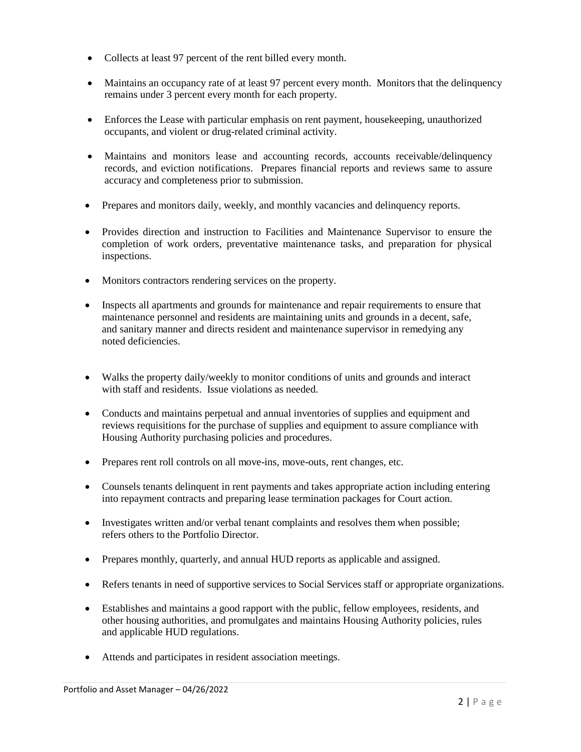- Collects at least 97 percent of the rent billed every month.
- Maintains an occupancy rate of at least 97 percent every month. Monitors that the delinquency remains under 3 percent every month for each property.
- Enforces the Lease with particular emphasis on rent payment, housekeeping, unauthorized occupants, and violent or drug-related criminal activity.
- Maintains and monitors lease and accounting records, accounts receivable/delinquency records, and eviction notifications. Prepares financial reports and reviews same to assure accuracy and completeness prior to submission.
- Prepares and monitors daily, weekly, and monthly vacancies and delinquency reports.
- Provides direction and instruction to Facilities and Maintenance Supervisor to ensure the completion of work orders, preventative maintenance tasks, and preparation for physical inspections.
- Monitors contractors rendering services on the property.
- Inspects all apartments and grounds for maintenance and repair requirements to ensure that maintenance personnel and residents are maintaining units and grounds in a decent, safe, and sanitary manner and directs resident and maintenance supervisor in remedying any noted deficiencies.
- Walks the property daily/weekly to monitor conditions of units and grounds and interact with staff and residents. Issue violations as needed.
- Conducts and maintains perpetual and annual inventories of supplies and equipment and reviews requisitions for the purchase of supplies and equipment to assure compliance with Housing Authority purchasing policies and procedures.
- Prepares rent roll controls on all move-ins, move-outs, rent changes, etc.
- Counsels tenants delinquent in rent payments and takes appropriate action including entering into repayment contracts and preparing lease termination packages for Court action.
- Investigates written and/or verbal tenant complaints and resolves them when possible; refers others to the Portfolio Director.
- Prepares monthly, quarterly, and annual HUD reports as applicable and assigned.
- Refers tenants in need of supportive services to Social Services staff or appropriate organizations.
- Establishes and maintains a good rapport with the public, fellow employees, residents, and other housing authorities, and promulgates and maintains Housing Authority policies, rules and applicable HUD regulations.
- Attends and participates in resident association meetings.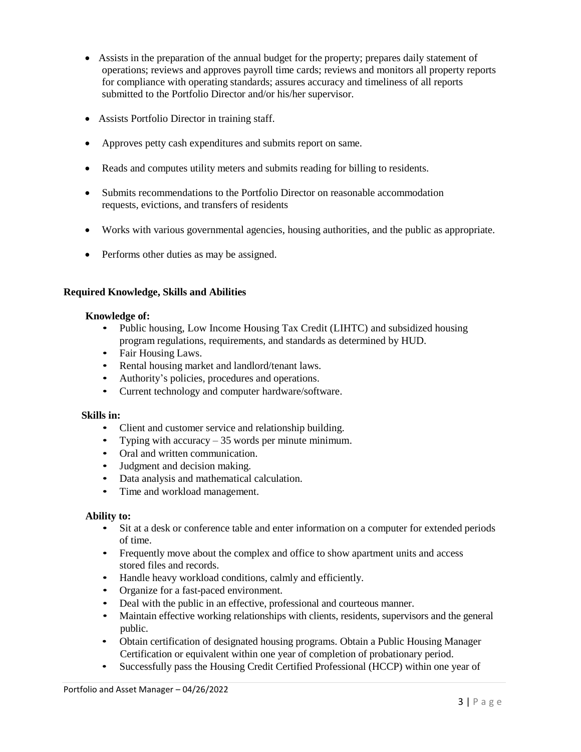- Assists in the preparation of the annual budget for the property; prepares daily statement of operations; reviews and approves payroll time cards; reviews and monitors all property reports for compliance with operating standards; assures accuracy and timeliness of all reports submitted to the Portfolio Director and/or his/her supervisor.
- Assists Portfolio Director in training staff.
- Approves petty cash expenditures and submits report on same.
- Reads and computes utility meters and submits reading for billing to residents.
- Submits recommendations to the Portfolio Director on reasonable accommodation requests, evictions, and transfers of residents
- Works with various governmental agencies, housing authorities, and the public as appropriate.
- Performs other duties as may be assigned.

## **Required Knowledge, Skills and Abilities**

### **Knowledge of:**

- Public housing, Low Income Housing Tax Credit (LIHTC) and subsidized housing program regulations, requirements, and standards as determined by HUD.
- Fair Housing Laws.
- Rental housing market and landlord/tenant laws.
- Authority's policies, procedures and operations.
- Current technology and computer hardware/software.

### **Skills in:**

- Client and customer service and relationship building.
- Typing with accuracy 35 words per minute minimum.
- Oral and written communication.
- Judgment and decision making.
- Data analysis and mathematical calculation.
- Time and workload management.

### **Ability to:**

- Sit at a desk or conference table and enter information on a computer for extended periods of time.
- Frequently move about the complex and office to show apartment units and access stored files and records.
- Handle heavy workload conditions, calmly and efficiently.
- Organize for a fast-paced environment.
- Deal with the public in an effective, professional and courteous manner.
- Maintain effective working relationships with clients, residents, supervisors and the general public.
- Obtain certification of designated housing programs. Obtain a Public Housing Manager Certification or equivalent within one year of completion of probationary period.
- Successfully pass the Housing Credit Certified Professional (HCCP) within one year of